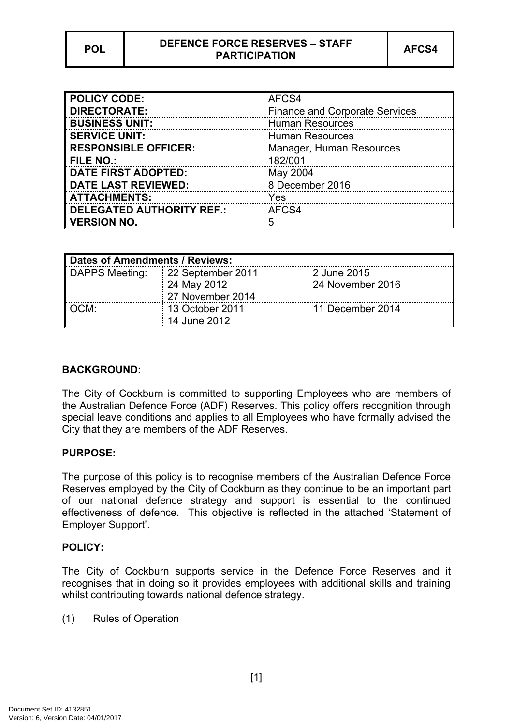# **POL DEFENCE FORCE RESERVES – STAFF** PARTICIPATION **AFCS4**

| <b>POLICY CODE:</b>              | AFCS4                                 |
|----------------------------------|---------------------------------------|
| <b>DIRECTORATE:</b>              | <b>Finance and Corporate Services</b> |
| <b>BUSINESS UNIT:</b>            | <b>Human Resources</b>                |
| <b>SERVICE UNIT:</b>             | <b>Human Resources</b>                |
| <b>RESPONSIBLE OFFICER:</b>      | Manager, Human Resources              |
| <b>FILE NO.:</b>                 | 182/001                               |
| <b>DATE FIRST ADOPTED:</b>       | May 2004                              |
| <b>DATE LAST REVIEWED:</b>       | 8 December 2016                       |
| <b>ATTACHMENTS:</b>              | Yes                                   |
| <b>DELEGATED AUTHORITY REF.:</b> | AFCS4                                 |
| <b>VERSION NO.</b>               | 5                                     |

| Dates of Amendments / Reviews: |                   |                  |  |  |  |
|--------------------------------|-------------------|------------------|--|--|--|
| DAPPS Meeting:                 | 22 September 2011 | 2 June 2015      |  |  |  |
|                                | 24 May 2012       | 24 November 2016 |  |  |  |
|                                | 27 November 2014  |                  |  |  |  |
| OCM:                           | 13 October 2011   | 11 December 2014 |  |  |  |
|                                | 14 June 2012      |                  |  |  |  |

## **BACKGROUND:**

The City of Cockburn is committed to supporting Employees who are members of the Australian Defence Force (ADF) Reserves. This policy offers recognition through special leave conditions and applies to all Employees who have formally advised the City that they are members of the ADF Reserves.

## **PURPOSE:**

The purpose of this policy is to recognise members of the Australian Defence Force Reserves employed by the City of Cockburn as they continue to be an important part of our national defence strategy and support is essential to the continued effectiveness of defence. This objective is reflected in the attached 'Statement of Employer Support'.

## **POLICY:**

The City of Cockburn supports service in the Defence Force Reserves and it recognises that in doing so it provides employees with additional skills and training whilst contributing towards national defence strategy.

(1) Rules of Operation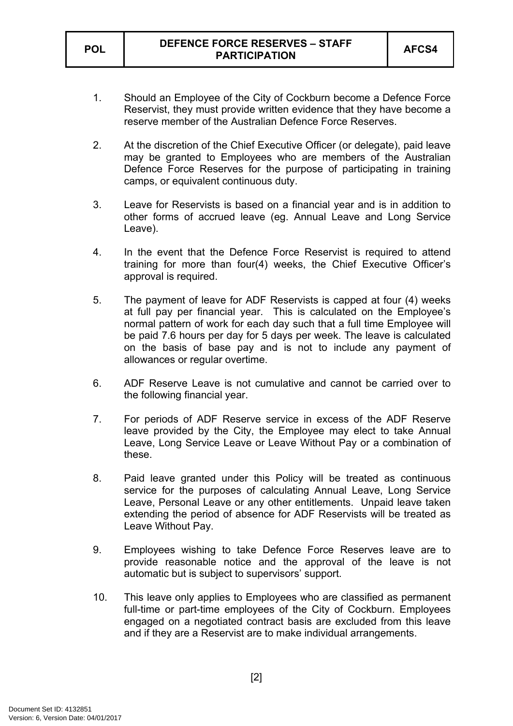- 1. Should an Employee of the City of Cockburn become a Defence Force Reservist, they must provide written evidence that they have become a reserve member of the Australian Defence Force Reserves.
- 2. At the discretion of the Chief Executive Officer (or delegate), paid leave may be granted to Employees who are members of the Australian Defence Force Reserves for the purpose of participating in training camps, or equivalent continuous duty.
- 3. Leave for Reservists is based on a financial year and is in addition to other forms of accrued leave (eg. Annual Leave and Long Service Leave).
- 4. In the event that the Defence Force Reservist is required to attend training for more than four(4) weeks, the Chief Executive Officer's approval is required.
- 5. The payment of leave for ADF Reservists is capped at four (4) weeks at full pay per financial year. This is calculated on the Employee's normal pattern of work for each day such that a full time Employee will be paid 7.6 hours per day for 5 days per week. The leave is calculated on the basis of base pay and is not to include any payment of allowances or regular overtime.
- 6. ADF Reserve Leave is not cumulative and cannot be carried over to the following financial year.
- 7. For periods of ADF Reserve service in excess of the ADF Reserve leave provided by the City, the Employee may elect to take Annual Leave, Long Service Leave or Leave Without Pay or a combination of these.
- 8. Paid leave granted under this Policy will be treated as continuous service for the purposes of calculating Annual Leave, Long Service Leave, Personal Leave or any other entitlements. Unpaid leave taken extending the period of absence for ADF Reservists will be treated as Leave Without Pay.
- 9. Employees wishing to take Defence Force Reserves leave are to provide reasonable notice and the approval of the leave is not automatic but is subject to supervisors' support.
- 10. This leave only applies to Employees who are classified as permanent full-time or part-time employees of the City of Cockburn. Employees engaged on a negotiated contract basis are excluded from this leave and if they are a Reservist are to make individual arrangements.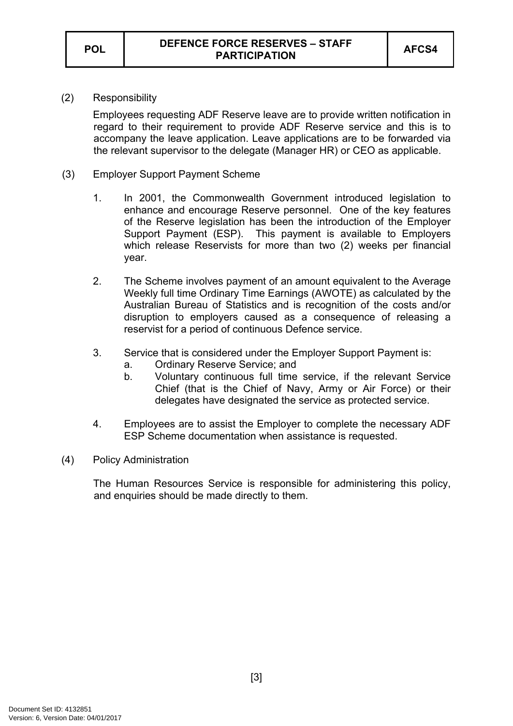(2) Responsibility

Employees requesting ADF Reserve leave are to provide written notification in regard to their requirement to provide ADF Reserve service and this is to accompany the leave application. Leave applications are to be forwarded via the relevant supervisor to the delegate (Manager HR) or CEO as applicable.

- (3) Employer Support Payment Scheme
	- 1. In 2001, the Commonwealth Government introduced legislation to enhance and encourage Reserve personnel. One of the key features of the Reserve legislation has been the introduction of the Employer Support Payment (ESP). This payment is available to Employers which release Reservists for more than two (2) weeks per financial year.
	- 2. The Scheme involves payment of an amount equivalent to the Average Weekly full time Ordinary Time Earnings (AWOTE) as calculated by the Australian Bureau of Statistics and is recognition of the costs and/or disruption to employers caused as a consequence of releasing a reservist for a period of continuous Defence service.
	- 3. Service that is considered under the Employer Support Payment is:
		- a. Ordinary Reserve Service; and
		- b. Voluntary continuous full time service, if the relevant Service Chief (that is the Chief of Navy, Army or Air Force) or their delegates have designated the service as protected service.
	- 4. Employees are to assist the Employer to complete the necessary ADF ESP Scheme documentation when assistance is requested.
- (4) Policy Administration

The Human Resources Service is responsible for administering this policy, and enquiries should be made directly to them.